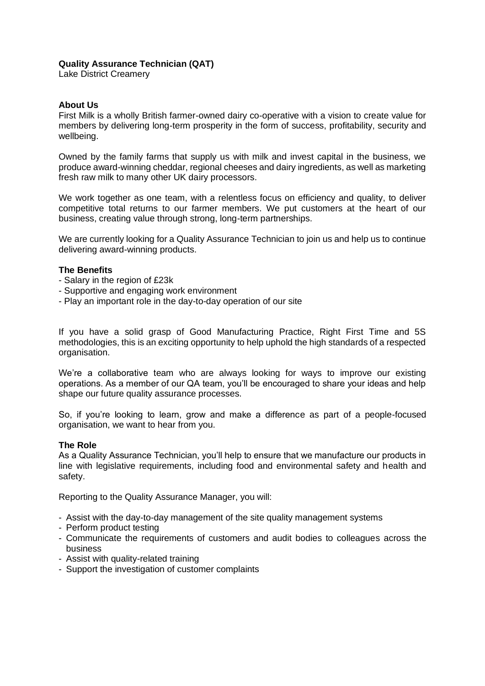## **Quality Assurance Technician (QAT)**

Lake District Creamery

### **About Us**

First Milk is a wholly British farmer-owned dairy co-operative with a vision to create value for members by delivering long-term prosperity in the form of success, profitability, security and wellbeing.

Owned by the family farms that supply us with milk and invest capital in the business, we produce award-winning cheddar, regional cheeses and dairy ingredients, as well as marketing fresh raw milk to many other UK dairy processors.

We work together as one team, with a relentless focus on efficiency and quality, to deliver competitive total returns to our farmer members. We put customers at the heart of our business, creating value through strong, long-term partnerships.

We are currently looking for a Quality Assurance Technician to join us and help us to continue delivering award-winning products.

## **The Benefits**

- Salary in the region of £23k
- Supportive and engaging work environment
- Play an important role in the day-to-day operation of our site

If you have a solid grasp of Good Manufacturing Practice, Right First Time and 5S methodologies, this is an exciting opportunity to help uphold the high standards of a respected organisation.

We're a collaborative team who are always looking for ways to improve our existing operations. As a member of our QA team, you'll be encouraged to share your ideas and help shape our future quality assurance processes.

So, if you're looking to learn, grow and make a difference as part of a people-focused organisation, we want to hear from you.

#### **The Role**

As a Quality Assurance Technician, you'll help to ensure that we manufacture our products in line with legislative requirements, including food and environmental safety and health and safety.

Reporting to the Quality Assurance Manager, you will:

- Assist with the day-to-day management of the site quality management systems
- Perform product testing
- Communicate the requirements of customers and audit bodies to colleagues across the business
- Assist with quality-related training
- Support the investigation of customer complaints